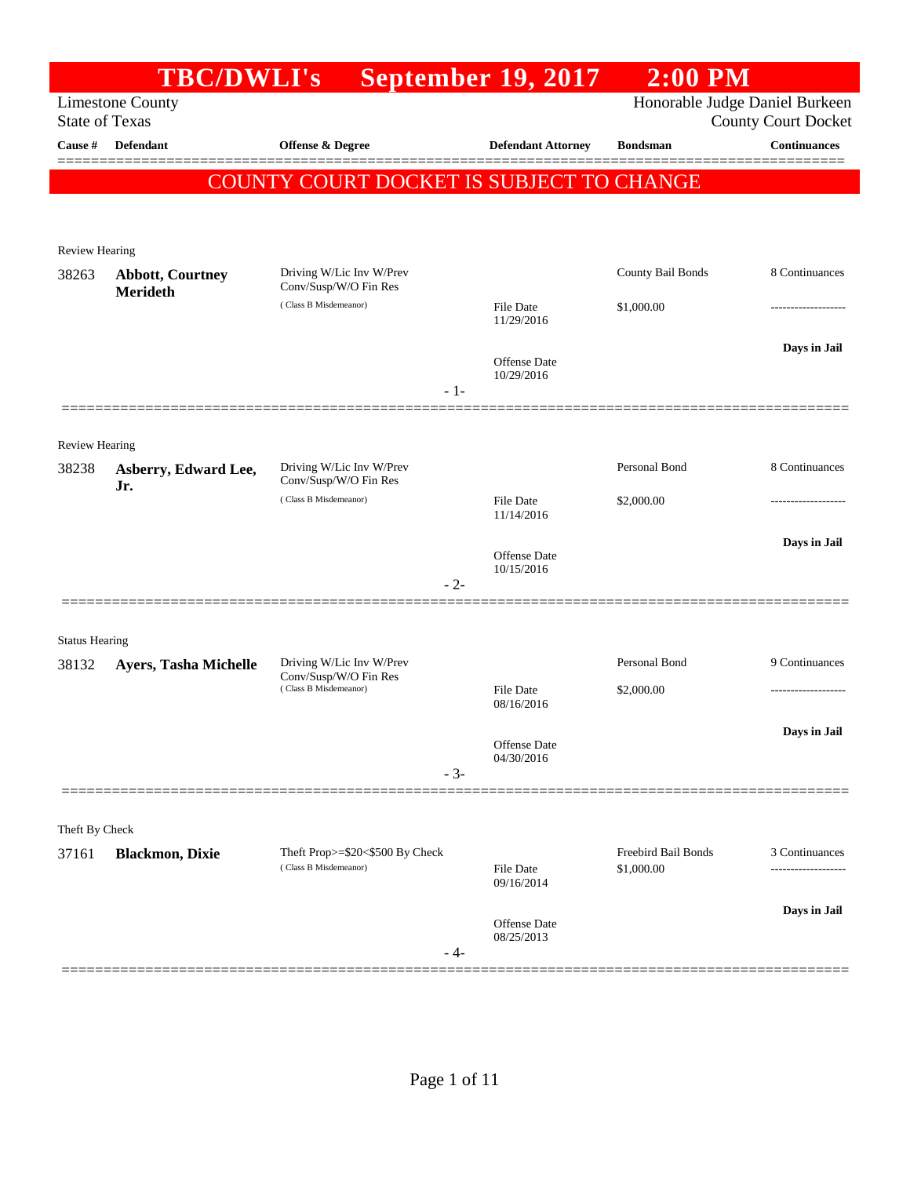|                         | <b>TBC/DWLI's</b>           |                                                   | <b>September 19, 2017</b>         | $2:00$ PM           |                                                              |
|-------------------------|-----------------------------|---------------------------------------------------|-----------------------------------|---------------------|--------------------------------------------------------------|
| <b>State of Texas</b>   | <b>Limestone County</b>     |                                                   |                                   |                     | Honorable Judge Daniel Burkeen<br><b>County Court Docket</b> |
| Cause #                 | <b>Defendant</b>            | Offense & Degree                                  | <b>Defendant Attorney</b>         | <b>Bondsman</b>     | Continuances                                                 |
|                         |                             |                                                   |                                   |                     |                                                              |
|                         |                             | COUNTY COURT DOCKET IS SUBJECT TO CHANGE          |                                   |                     |                                                              |
|                         |                             |                                                   |                                   |                     |                                                              |
| <b>Review Hearing</b>   |                             |                                                   |                                   |                     |                                                              |
| 38263                   | <b>Abbott, Courtney</b>     | Driving W/Lic Inv W/Prev<br>Conv/Susp/W/O Fin Res |                                   | County Bail Bonds   | 8 Continuances                                               |
|                         | <b>Merideth</b>             | (Class B Misdemeanor)                             | <b>File Date</b>                  | \$1,000.00          |                                                              |
|                         |                             |                                                   | 11/29/2016                        |                     |                                                              |
|                         |                             |                                                   | <b>Offense Date</b>               |                     | Days in Jail                                                 |
|                         |                             | $-1-$                                             | 10/29/2016                        |                     |                                                              |
|                         |                             |                                                   |                                   |                     |                                                              |
| <b>Review Hearing</b>   |                             |                                                   |                                   |                     |                                                              |
| 38238                   | Asberry, Edward Lee,<br>Jr. | Driving W/Lic Inv W/Prev<br>Conv/Susp/W/O Fin Res |                                   | Personal Bond       | 8 Continuances                                               |
|                         |                             | (Class B Misdemeanor)                             | <b>File Date</b><br>11/14/2016    | \$2,000.00          | ----------------                                             |
|                         |                             |                                                   |                                   |                     | Days in Jail                                                 |
|                         |                             |                                                   | <b>Offense Date</b><br>10/15/2016 |                     |                                                              |
|                         |                             | $-2-$                                             |                                   |                     |                                                              |
|                         |                             |                                                   |                                   |                     |                                                              |
| <b>Status Hearing</b>   |                             |                                                   |                                   |                     |                                                              |
| 38132                   | Ayers, Tasha Michelle       | Driving W/Lic Inv W/Prev<br>Conv/Susp/W/O Fin Res |                                   | Personal Bond       | 9 Continuances                                               |
|                         |                             | (Class B Misdemeanor)                             | <b>File Date</b><br>08/16/2016    | \$2,000.00          |                                                              |
|                         |                             |                                                   |                                   |                     | Days in Jail                                                 |
|                         |                             |                                                   | Offense Date<br>04/30/2016        |                     |                                                              |
|                         |                             | $-3-$                                             |                                   |                     |                                                              |
|                         |                             |                                                   |                                   |                     |                                                              |
| Theft By Check<br>37161 | <b>Blackmon, Dixie</b>      | Theft Prop>=\$20<\$500 By Check                   |                                   | Freebird Bail Bonds | 3 Continuances                                               |
|                         |                             | (Class B Misdemeanor)                             | File Date<br>09/16/2014           | \$1,000.00          |                                                              |
|                         |                             |                                                   |                                   |                     | Days in Jail                                                 |
|                         |                             |                                                   | Offense Date<br>08/25/2013        |                     |                                                              |
|                         |                             | - 4-                                              |                                   |                     |                                                              |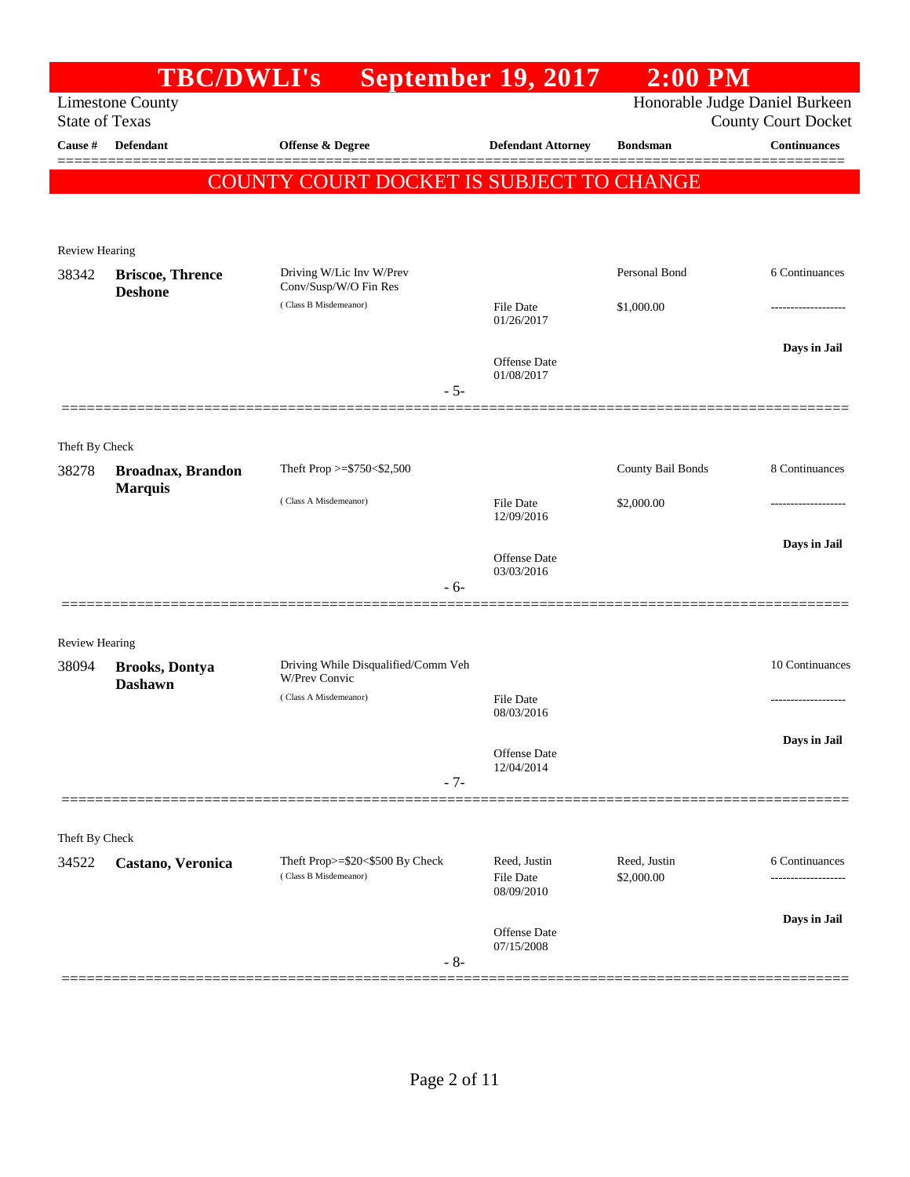|                       |                                                  | <b>TBC/DWLI's</b> September 19, 2017                        |                                                | $2:00$ PM                      |                                      |
|-----------------------|--------------------------------------------------|-------------------------------------------------------------|------------------------------------------------|--------------------------------|--------------------------------------|
|                       | <b>Limestone County</b><br><b>State of Texas</b> |                                                             |                                                | Honorable Judge Daniel Burkeen | <b>County Court Docket</b>           |
| Cause #               | <b>Defendant</b>                                 | <b>Offense &amp; Degree</b>                                 | <b>Defendant Attorney</b>                      | <b>Bondsman</b>                | Continuances                         |
|                       |                                                  | COUNTY COURT DOCKET IS SUBJECT TO CHANGE                    |                                                |                                | ========                             |
|                       |                                                  |                                                             |                                                |                                |                                      |
| Review Hearing        |                                                  |                                                             |                                                |                                |                                      |
| 38342                 | <b>Briscoe, Thrence</b><br><b>Deshone</b>        | Driving W/Lic Inv W/Prev<br>Conv/Susp/W/O Fin Res           |                                                | Personal Bond                  | 6 Continuances                       |
|                       |                                                  | (Class B Misdemeanor)                                       | File Date<br>01/26/2017                        | \$1,000.00                     |                                      |
|                       |                                                  |                                                             | Offense Date                                   |                                | Days in Jail                         |
|                       |                                                  | $-5-$                                                       | 01/08/2017                                     |                                |                                      |
| Theft By Check        |                                                  |                                                             |                                                |                                |                                      |
| 38278                 | <b>Broadnax, Brandon</b>                         | Theft Prop >=\$750<\$2,500                                  |                                                | County Bail Bonds              | 8 Continuances                       |
|                       | <b>Marquis</b>                                   | (Class A Misdemeanor)                                       | <b>File Date</b><br>12/09/2016                 | \$2,000.00                     |                                      |
|                       |                                                  |                                                             | <b>Offense Date</b>                            |                                | Days in Jail                         |
|                       |                                                  | $-6-$                                                       | 03/03/2016                                     |                                |                                      |
| <b>Review Hearing</b> |                                                  |                                                             |                                                |                                |                                      |
| 38094                 | <b>Brooks, Dontya</b><br><b>Dashawn</b>          | Driving While Disqualified/Comm Veh<br><b>W/Prev Convic</b> |                                                |                                | 10 Continuances                      |
|                       |                                                  | (Class A Misdemeanor)                                       | <b>File Date</b><br>08/03/2016                 |                                |                                      |
|                       |                                                  | $-7-$                                                       | Offense Date<br>12/04/2014                     |                                | Days in Jail                         |
|                       |                                                  |                                                             |                                                |                                |                                      |
| Theft By Check        |                                                  |                                                             |                                                |                                |                                      |
| 34522                 | Castano, Veronica                                | Theft Prop>=\$20<\$500 By Check<br>(Class B Misdemeanor)    | Reed, Justin<br><b>File Date</b><br>08/09/2010 | Reed, Justin<br>\$2,000.00     | 6 Continuances<br>------------------ |
|                       |                                                  |                                                             | <b>Offense Date</b><br>07/15/2008              |                                | Days in Jail                         |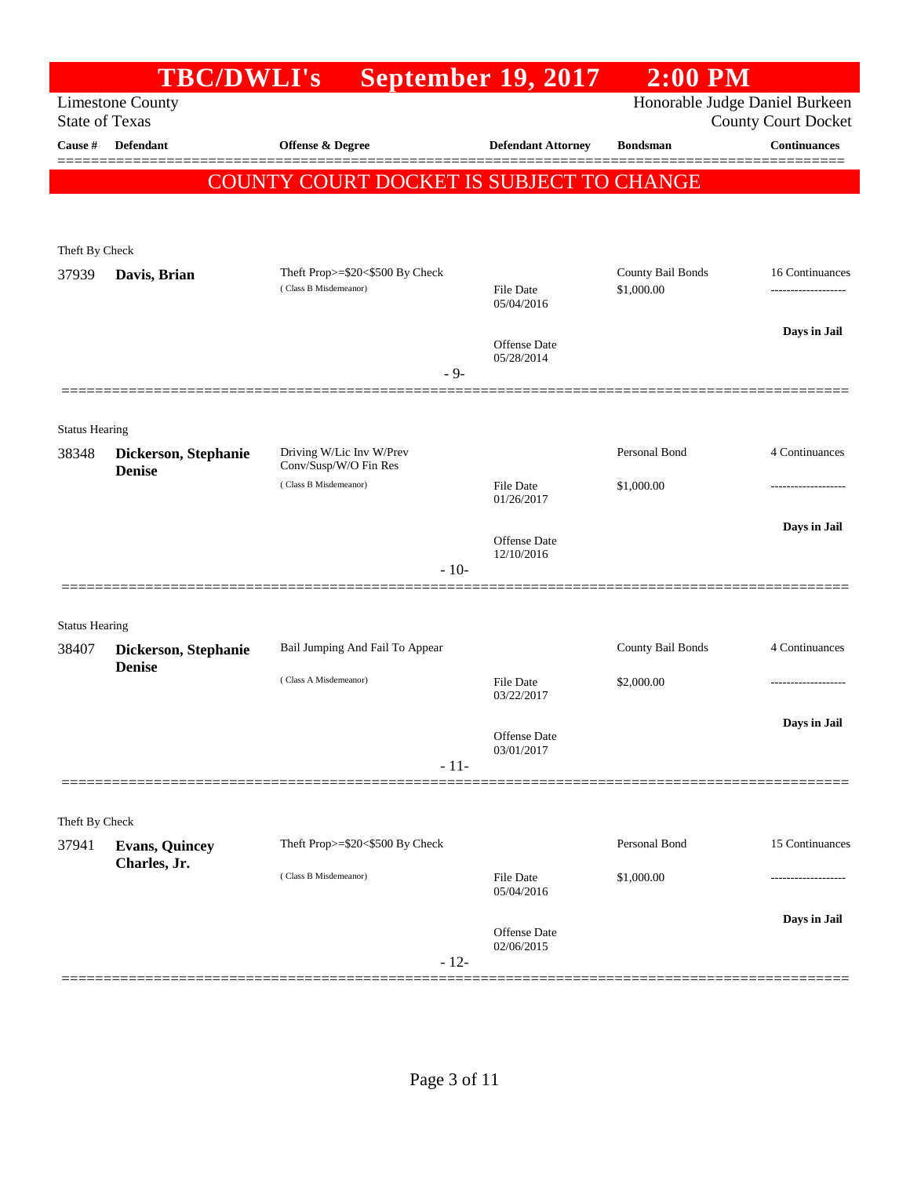|                       | <b>TBC/DWLI's</b>                     |                                                | <b>September 19, 2017</b>      | $2:00$ PM                      |                            |
|-----------------------|---------------------------------------|------------------------------------------------|--------------------------------|--------------------------------|----------------------------|
| <b>State of Texas</b> | <b>Limestone County</b>               |                                                |                                | Honorable Judge Daniel Burkeen | <b>County Court Docket</b> |
| Cause #               | <b>Defendant</b>                      | <b>Offense &amp; Degree</b>                    | <b>Defendant Attorney</b>      | <b>Bondsman</b>                | Continuances               |
|                       |                                       | COUNTY COURT DOCKET IS SUBJECT TO CHANGE       |                                |                                |                            |
|                       |                                       |                                                |                                |                                |                            |
| Theft By Check        |                                       |                                                |                                |                                |                            |
| 37939                 | Davis, Brian                          | Theft Prop>=\$20<\$500 By Check                |                                | County Bail Bonds              | 16 Continuances            |
|                       |                                       | (Class B Misdemeanor)                          | <b>File Date</b><br>05/04/2016 | \$1,000.00                     |                            |
|                       |                                       |                                                |                                |                                | Days in Jail               |
|                       |                                       |                                                | Offense Date<br>05/28/2014     |                                |                            |
|                       |                                       | $-9-$                                          |                                |                                |                            |
| <b>Status Hearing</b> |                                       |                                                |                                |                                |                            |
| 38348                 | Dickerson, Stephanie                  | Driving W/Lic Inv W/Prev                       |                                | Personal Bond                  | 4 Continuances             |
|                       | <b>Denise</b>                         | Conv/Susp/W/O Fin Res<br>(Class B Misdemeanor) | <b>File Date</b>               | \$1,000.00                     | ----------------           |
|                       |                                       |                                                | 01/26/2017                     |                                |                            |
|                       |                                       |                                                | <b>Offense Date</b>            |                                | Days in Jail               |
|                       |                                       | $-10-$                                         | 12/10/2016                     |                                |                            |
|                       |                                       |                                                |                                |                                |                            |
| <b>Status Hearing</b> |                                       |                                                |                                |                                |                            |
| 38407                 | Dickerson, Stephanie<br><b>Denise</b> | Bail Jumping And Fail To Appear                |                                | County Bail Bonds              | 4 Continuances             |
|                       |                                       | (Class A Misdemeanor)                          | <b>File Date</b><br>03/22/2017 | \$2,000.00                     | .                          |
|                       |                                       |                                                |                                |                                | Days in Jail               |
|                       |                                       |                                                | Offense Date<br>03/01/2017     |                                |                            |
|                       |                                       | $-11-$                                         |                                |                                |                            |
| Theft By Check        |                                       |                                                |                                |                                |                            |
| 37941                 | <b>Evans, Quincey</b>                 | Theft Prop>=\$20<\$500 By Check                |                                | Personal Bond                  | 15 Continuances            |
|                       | Charles, Jr.                          | (Class B Misdemeanor)                          | <b>File Date</b>               | \$1,000.00                     |                            |
|                       |                                       |                                                | 05/04/2016                     |                                |                            |
|                       |                                       |                                                | <b>Offense Date</b>            |                                | Days in Jail               |
|                       |                                       | $-12-$                                         | 02/06/2015                     |                                |                            |
|                       |                                       |                                                |                                |                                |                            |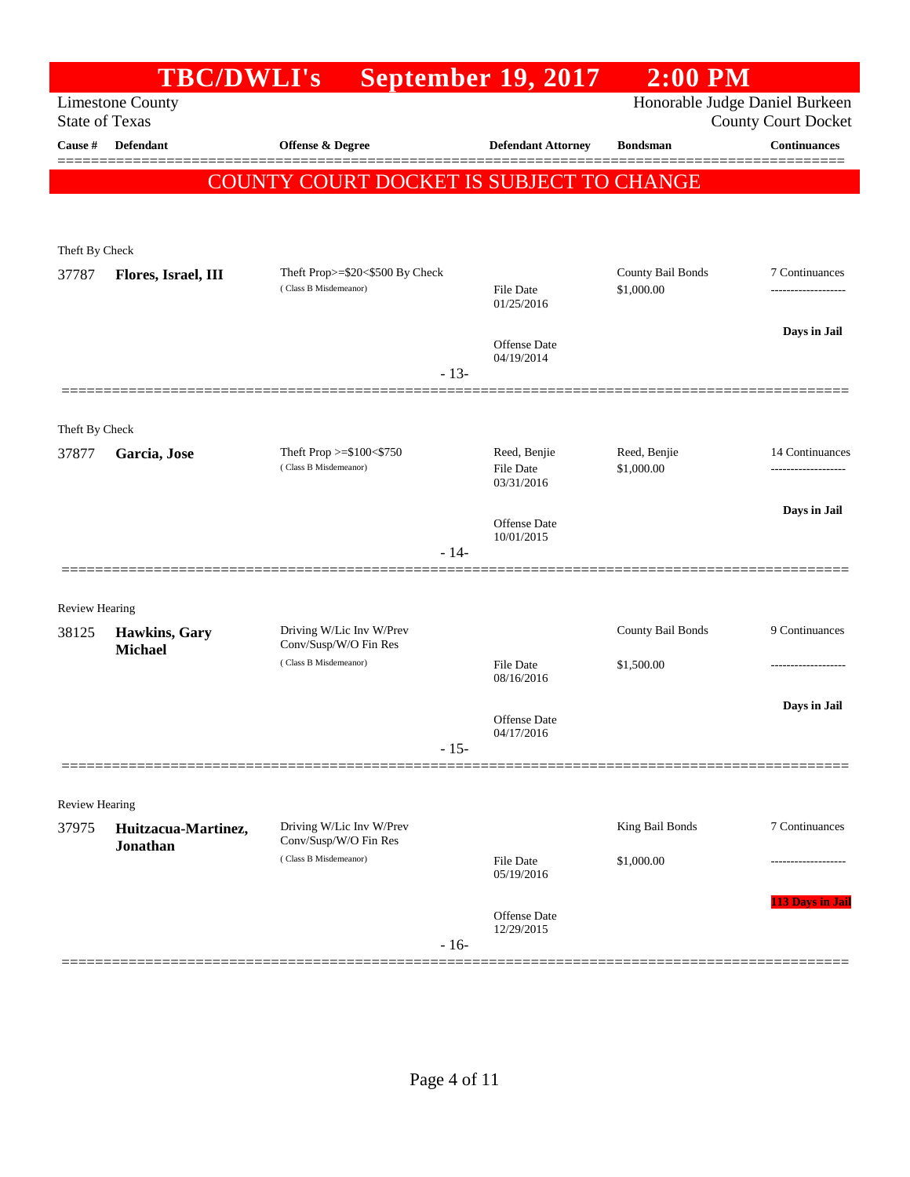| <b>Limestone County</b><br><b>State of Texas</b>      |                                                          |                                   | Honorable Judge Daniel Burkeen |                            |
|-------------------------------------------------------|----------------------------------------------------------|-----------------------------------|--------------------------------|----------------------------|
|                                                       |                                                          |                                   |                                | <b>County Court Docket</b> |
| Defendant<br>Cause #                                  | <b>Offense &amp; Degree</b>                              | <b>Defendant Attorney</b>         | <b>Bondsman</b>                | Continuances               |
|                                                       | COUNTY COURT DOCKET IS SUBJECT TO CHANGE                 |                                   |                                | 3 = = = = = =              |
|                                                       |                                                          |                                   |                                |                            |
| Theft By Check                                        |                                                          |                                   |                                |                            |
| 37787<br>Flores, Israel, III                          | Theft Prop>=\$20<\$500 By Check                          |                                   | County Bail Bonds              | 7 Continuances             |
|                                                       | (Class B Misdemeanor)                                    | File Date<br>01/25/2016           | \$1,000.00                     | -----------------          |
|                                                       |                                                          | <b>Offense Date</b>               |                                | Days in Jail               |
|                                                       | $-13-$                                                   | 04/19/2014                        |                                |                            |
|                                                       |                                                          |                                   |                                |                            |
| Theft By Check                                        |                                                          |                                   |                                |                            |
| 37877<br>Garcia, Jose                                 | Theft Prop $>=$ \$100 $<$ \$750<br>(Class B Misdemeanor) | Reed, Benjie<br><b>File Date</b>  | Reed, Benjie<br>\$1,000.00     | 14 Continuances<br>        |
|                                                       |                                                          | 03/31/2016                        |                                |                            |
|                                                       |                                                          | <b>Offense Date</b><br>10/01/2015 |                                | Days in Jail               |
|                                                       | $-14-$                                                   |                                   |                                |                            |
|                                                       |                                                          |                                   |                                |                            |
| <b>Review Hearing</b><br>Hawkins, Gary<br>38125       | Driving W/Lic Inv W/Prev                                 |                                   | County Bail Bonds              | 9 Continuances             |
| <b>Michael</b>                                        | Conv/Susp/W/O Fin Res<br>(Class B Misdemeanor)           | <b>File Date</b>                  | \$1,500.00                     |                            |
|                                                       |                                                          | 08/16/2016                        |                                |                            |
|                                                       |                                                          | <b>Offense Date</b><br>04/17/2016 |                                | Days in Jail               |
|                                                       | $-15-$                                                   |                                   |                                |                            |
|                                                       |                                                          |                                   |                                |                            |
| <b>Review Hearing</b><br>37975<br>Huitzacua-Martinez, | Driving W/Lic Inv W/Prev                                 |                                   | King Bail Bonds                | 7 Continuances             |
| <b>Jonathan</b>                                       | Conv/Susp/W/O Fin Res<br>(Class B Misdemeanor)           | <b>File Date</b>                  | \$1,000.00                     |                            |
|                                                       |                                                          | 05/19/2016                        |                                |                            |
|                                                       |                                                          | Offense Date<br>12/29/2015        |                                | <b>113 Days in Jail</b>    |
|                                                       | $-16-$                                                   |                                   |                                |                            |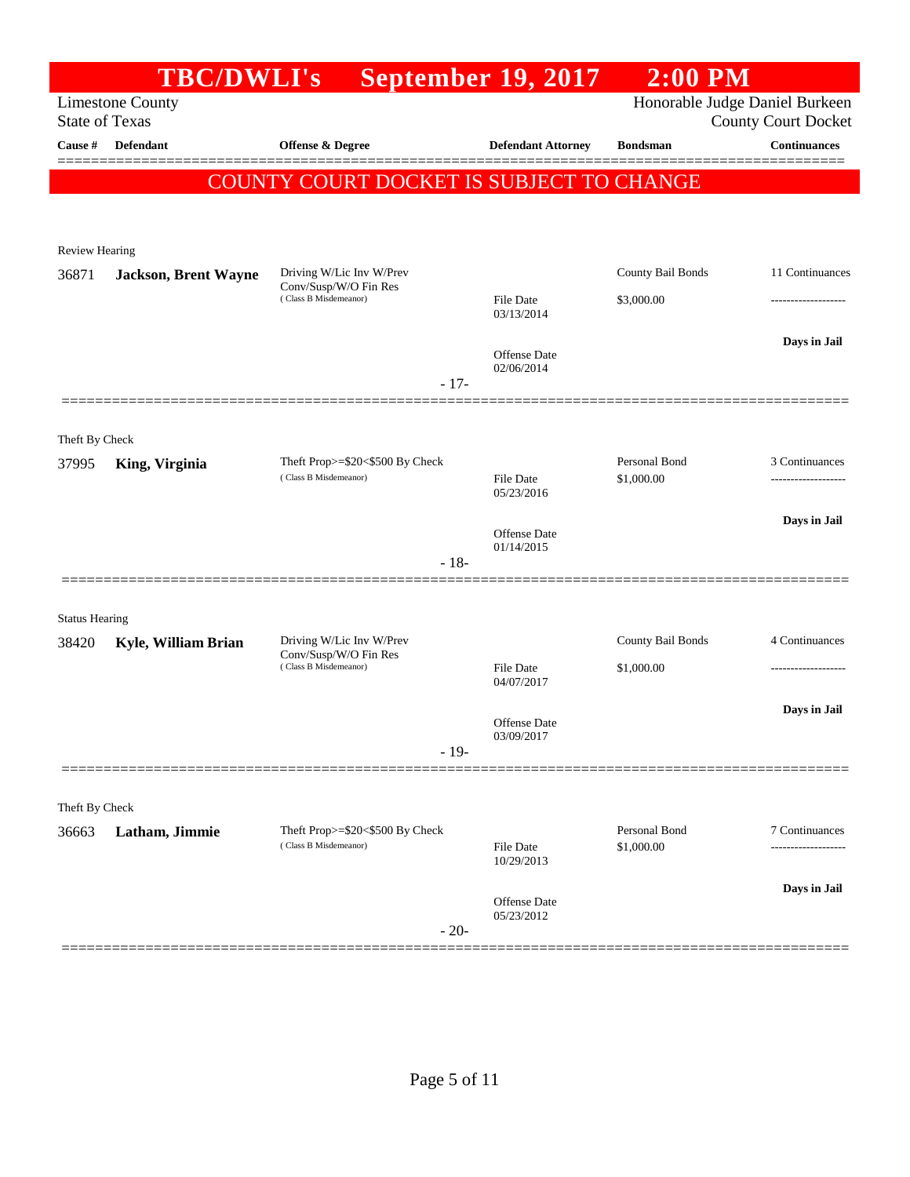|                                  | <b>TBC/DWLI's</b>           |                                                   | <b>September 19, 2017</b>         | $2:00$ PM         |                                                   |
|----------------------------------|-----------------------------|---------------------------------------------------|-----------------------------------|-------------------|---------------------------------------------------|
|                                  | <b>Limestone County</b>     |                                                   |                                   |                   | Honorable Judge Daniel Burkeen                    |
| <b>State of Texas</b><br>Cause # | Defendant                   | Offense & Degree                                  | <b>Defendant Attorney</b>         | <b>Bondsman</b>   | <b>County Court Docket</b><br><b>Continuances</b> |
|                                  |                             |                                                   |                                   |                   |                                                   |
|                                  |                             | COUNTY COURT DOCKET IS SUBJECT TO CHANGE          |                                   |                   |                                                   |
|                                  |                             |                                                   |                                   |                   |                                                   |
| <b>Review Hearing</b>            |                             |                                                   |                                   |                   |                                                   |
| 36871                            | <b>Jackson, Brent Wayne</b> | Driving W/Lic Inv W/Prev<br>Conv/Susp/W/O Fin Res |                                   | County Bail Bonds | 11 Continuances                                   |
|                                  |                             | (Class B Misdemeanor)                             | <b>File Date</b><br>03/13/2014    | \$3,000.00        |                                                   |
|                                  |                             |                                                   |                                   |                   | Days in Jail                                      |
|                                  |                             |                                                   | <b>Offense Date</b><br>02/06/2014 |                   |                                                   |
|                                  |                             | $-17-$                                            |                                   |                   |                                                   |
|                                  |                             |                                                   |                                   |                   |                                                   |
| Theft By Check<br>37995          | King, Virginia              | Theft Prop>=\$20<\$500 By Check                   |                                   | Personal Bond     | 3 Continuances                                    |
|                                  |                             | (Class B Misdemeanor)                             | <b>File Date</b><br>05/23/2016    | \$1,000.00        |                                                   |
|                                  |                             |                                                   |                                   |                   | Days in Jail                                      |
|                                  |                             |                                                   | <b>Offense Date</b><br>01/14/2015 |                   |                                                   |
|                                  |                             | $-18-$                                            |                                   |                   |                                                   |
|                                  |                             |                                                   |                                   |                   |                                                   |
| <b>Status Hearing</b><br>38420   | Kyle, William Brian         | Driving W/Lic Inv W/Prev                          |                                   | County Bail Bonds | 4 Continuances                                    |
|                                  |                             | Conv/Susp/W/O Fin Res<br>(Class B Misdemeanor)    | <b>File Date</b>                  | \$1,000.00        | .                                                 |
|                                  |                             |                                                   | 04/07/2017                        |                   |                                                   |
|                                  |                             |                                                   | Offense Date                      |                   | Days in Jail                                      |
|                                  |                             | $-19-$                                            | 03/09/2017                        |                   |                                                   |
|                                  |                             |                                                   |                                   |                   |                                                   |
| Theft By Check                   |                             |                                                   |                                   |                   |                                                   |
| 36663                            | Latham, Jimmie              | Theft Prop>=\$20<\$500 By Check                   |                                   | Personal Bond     | 7 Continuances                                    |
|                                  |                             | (Class B Misdemeanor)                             | File Date<br>10/29/2013           | \$1,000.00        |                                                   |
|                                  |                             |                                                   |                                   |                   | Days in Jail                                      |
|                                  |                             |                                                   | Offense Date<br>05/23/2012        |                   |                                                   |
|                                  |                             | $-20-$                                            |                                   |                   |                                                   |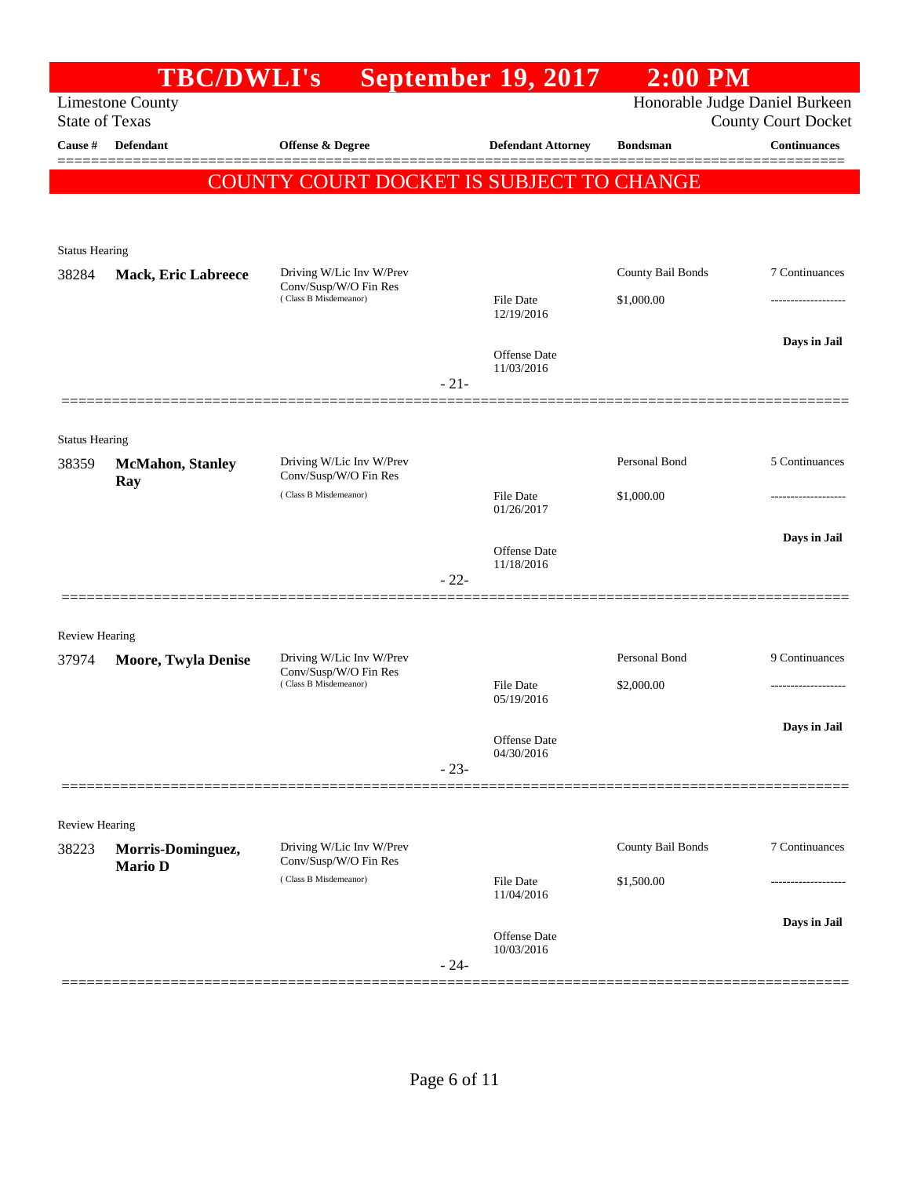|                       | <b>TBC/DWLI's</b>          |                                                   | <b>September 19, 2017</b>      | $2:00$ PM         |                                |
|-----------------------|----------------------------|---------------------------------------------------|--------------------------------|-------------------|--------------------------------|
|                       | <b>Limestone County</b>    |                                                   |                                |                   | Honorable Judge Daniel Burkeen |
| <b>State of Texas</b> |                            |                                                   |                                |                   | <b>County Court Docket</b>     |
| Cause #               | <b>Defendant</b>           | Offense & Degree                                  | <b>Defendant Attorney</b>      | <b>Bondsman</b>   | <b>Continuances</b>            |
|                       |                            | <b>COUNTY COURT DOCKET IS SUBJECT TO CHANGE</b>   |                                |                   |                                |
|                       |                            |                                                   |                                |                   |                                |
|                       |                            |                                                   |                                |                   |                                |
| <b>Status Hearing</b> |                            |                                                   |                                |                   |                                |
| 38284                 | <b>Mack, Eric Labreece</b> | Driving W/Lic Inv W/Prev<br>Conv/Susp/W/O Fin Res |                                | County Bail Bonds | 7 Continuances                 |
|                       |                            | (Class B Misdemeanor)                             | File Date<br>12/19/2016        | \$1,000.00        |                                |
|                       |                            |                                                   |                                |                   | Days in Jail                   |
|                       |                            |                                                   | Offense Date<br>11/03/2016     |                   |                                |
|                       |                            |                                                   | $-21-$                         |                   |                                |
|                       |                            |                                                   |                                |                   |                                |
| <b>Status Hearing</b> |                            |                                                   |                                |                   |                                |
| 38359                 | <b>McMahon</b> , Stanley   | Driving W/Lic Inv W/Prev                          |                                | Personal Bond     | 5 Continuances                 |
|                       | Ray                        | Conv/Susp/W/O Fin Res<br>(Class B Misdemeanor)    | File Date                      | \$1,000.00        |                                |
|                       |                            |                                                   | 01/26/2017                     |                   |                                |
|                       |                            |                                                   |                                |                   | Days in Jail                   |
|                       |                            |                                                   | Offense Date<br>11/18/2016     |                   |                                |
|                       |                            |                                                   | $-22-$                         |                   |                                |
|                       |                            |                                                   |                                |                   |                                |
| <b>Review Hearing</b> |                            |                                                   |                                |                   |                                |
| 37974                 | <b>Moore, Twyla Denise</b> | Driving W/Lic Inv W/Prev<br>Conv/Susp/W/O Fin Res |                                | Personal Bond     | 9 Continuances                 |
|                       |                            | (Class B Misdemeanor)                             | <b>File Date</b><br>05/19/2016 | \$2,000.00        |                                |
|                       |                            |                                                   |                                |                   | Days in Jail                   |
|                       |                            |                                                   | Offense Date<br>04/30/2016     |                   |                                |
|                       |                            |                                                   | $-23-$                         |                   |                                |
|                       |                            |                                                   |                                |                   |                                |
| Review Hearing        |                            |                                                   |                                |                   |                                |
| 38223                 | Morris-Dominguez,          | Driving W/Lic Inv W/Prev<br>Conv/Susp/W/O Fin Res |                                | County Bail Bonds | 7 Continuances                 |
|                       | <b>Mario D</b>             | (Class B Misdemeanor)                             | <b>File Date</b>               | \$1,500.00        |                                |
|                       |                            |                                                   | 11/04/2016                     |                   |                                |
|                       |                            |                                                   | Offense Date                   |                   | Days in Jail                   |
|                       |                            |                                                   | 10/03/2016<br>$-24-$           |                   |                                |
|                       |                            |                                                   |                                |                   |                                |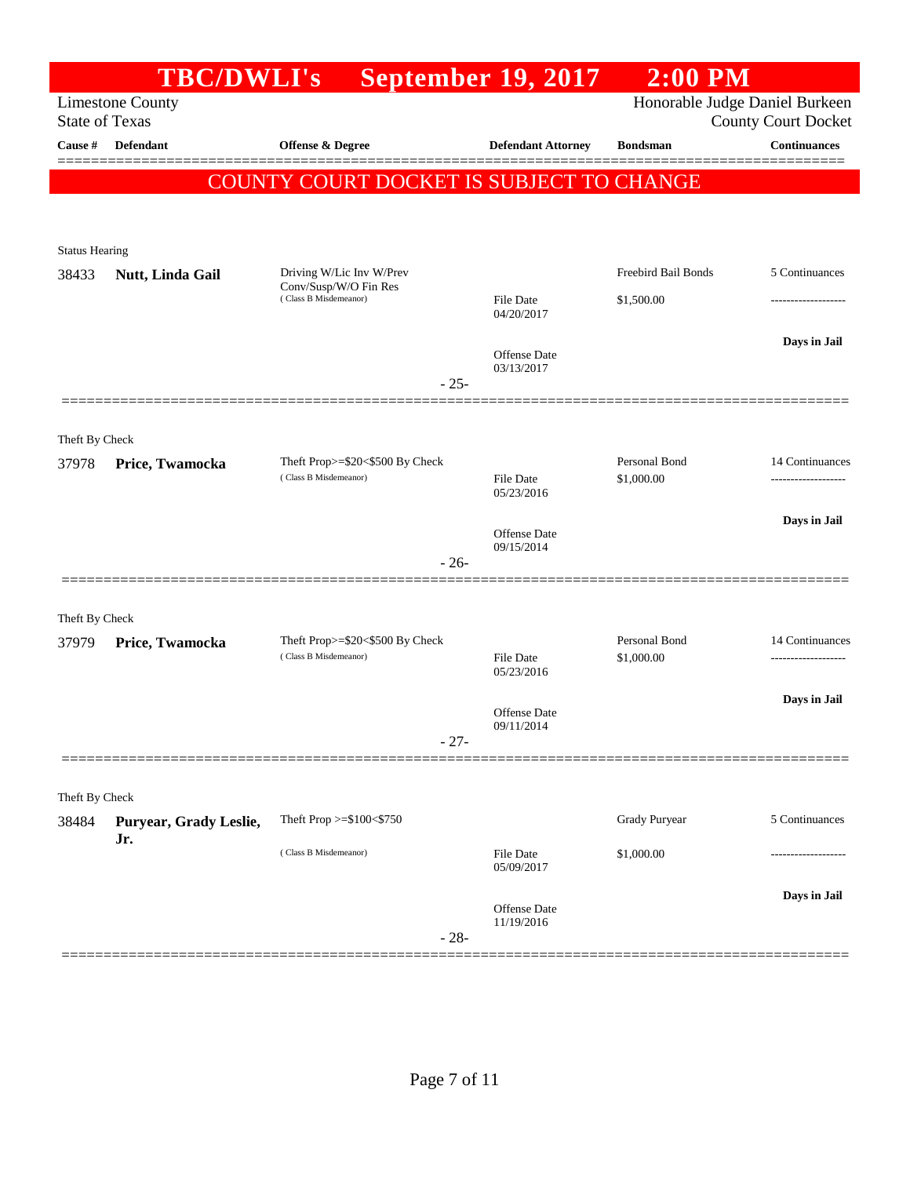|                       | <b>TBC/DWLI's</b>             |                                                                            | <b>September 19, 2017</b>         | $2:00$ PM                         |                                                              |
|-----------------------|-------------------------------|----------------------------------------------------------------------------|-----------------------------------|-----------------------------------|--------------------------------------------------------------|
| <b>State of Texas</b> | <b>Limestone County</b>       |                                                                            |                                   |                                   | Honorable Judge Daniel Burkeen<br><b>County Court Docket</b> |
| Cause #               | Defendant                     | Offense & Degree                                                           | <b>Defendant Attorney</b>         | <b>Bondsman</b>                   | <b>Continuances</b>                                          |
|                       |                               | <b>COUNTY COURT DOCKET IS SUBJECT TO CHANGE</b>                            |                                   |                                   |                                                              |
| <b>Status Hearing</b> |                               |                                                                            |                                   |                                   |                                                              |
| 38433                 | Nutt, Linda Gail              | Driving W/Lic Inv W/Prev<br>Conv/Susp/W/O Fin Res<br>(Class B Misdemeanor) | <b>File Date</b><br>04/20/2017    | Freebird Bail Bonds<br>\$1,500.00 | 5 Continuances                                               |
|                       |                               | $-25-$                                                                     | Offense Date<br>03/13/2017        |                                   | Days in Jail                                                 |
| Theft By Check        |                               |                                                                            |                                   |                                   |                                                              |
| 37978                 | Price, Twamocka               | Theft Prop>=\$20<\$500 By Check<br>(Class B Misdemeanor)                   | <b>File Date</b><br>05/23/2016    | Personal Bond<br>\$1,000.00       | 14 Continuances                                              |
|                       |                               | $-26-$                                                                     | Offense Date<br>09/15/2014        |                                   | Days in Jail                                                 |
| Theft By Check        |                               |                                                                            |                                   |                                   |                                                              |
| 37979                 | Price, Twamocka               | Theft Prop>=\$20<\$500 By Check<br>(Class B Misdemeanor)                   | <b>File Date</b><br>05/23/2016    | Personal Bond<br>\$1,000.00       | 14 Continuances<br>-------------------                       |
|                       |                               | $-27-$                                                                     | <b>Offense Date</b><br>09/11/2014 |                                   | Days in Jail                                                 |
| Theft By Check        |                               |                                                                            |                                   |                                   |                                                              |
| 38484                 | Puryear, Grady Leslie,<br>Jr. | Theft Prop >=\$100<\$750                                                   |                                   | Grady Puryear                     | 5 Continuances                                               |
|                       |                               | (Class B Misdemeanor)                                                      | File Date<br>05/09/2017           | \$1,000.00                        | .                                                            |
|                       |                               | $-28-$                                                                     | Offense Date<br>11/19/2016        |                                   | Days in Jail                                                 |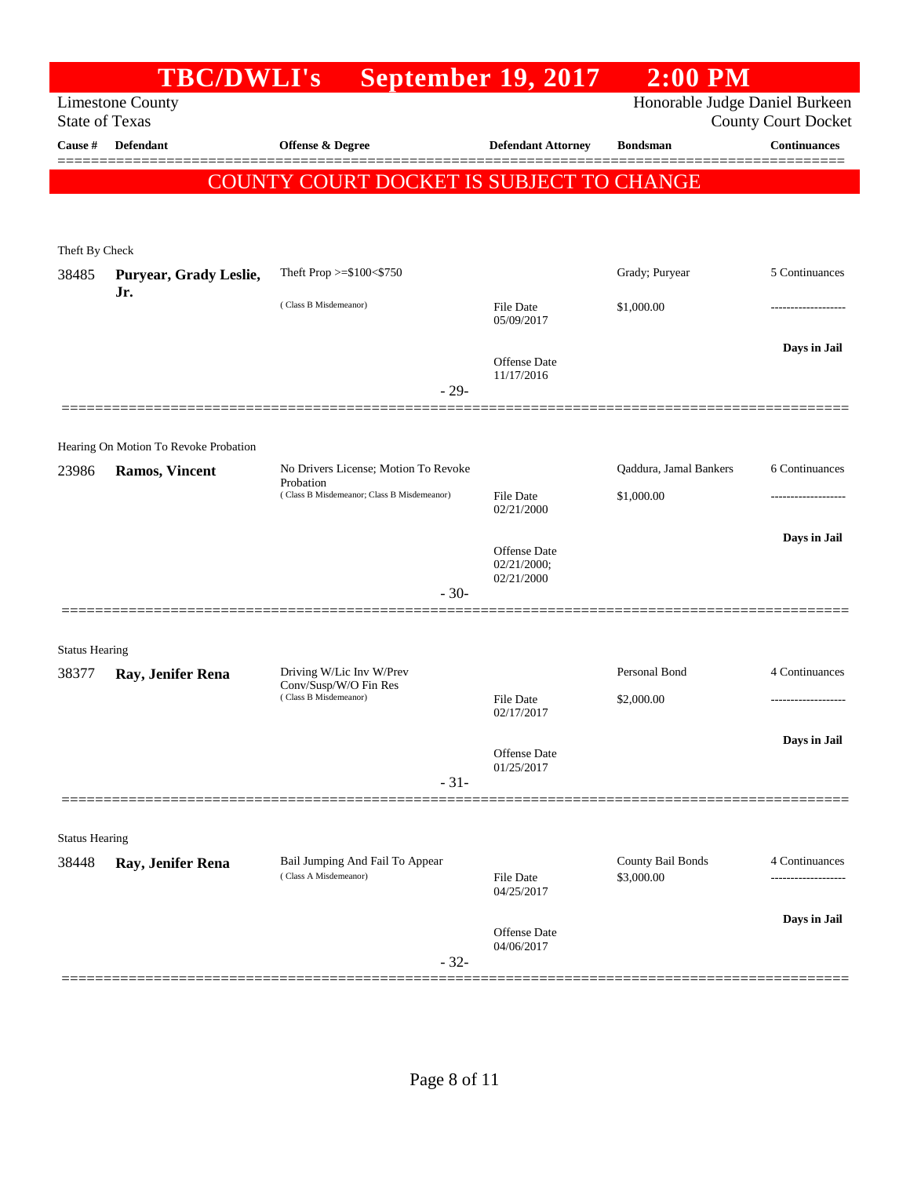|                                  |                                                                | TBC/DWLI's September 19, 2017                            |                            | $2:00$ PM                       |                                            |
|----------------------------------|----------------------------------------------------------------|----------------------------------------------------------|----------------------------|---------------------------------|--------------------------------------------|
|                                  | <b>Limestone County</b>                                        |                                                          |                            | Honorable Judge Daniel Burkeen  |                                            |
| <b>State of Texas</b><br>Cause # | Defendant                                                      | Offense & Degree                                         | <b>Defendant Attorney</b>  | <b>Bondsman</b>                 | <b>County Court Docket</b><br>Continuances |
|                                  |                                                                |                                                          |                            |                                 |                                            |
|                                  |                                                                | COUNTY COURT DOCKET IS SUBJECT TO CHANGE                 |                            |                                 |                                            |
|                                  |                                                                |                                                          |                            |                                 |                                            |
| Theft By Check                   |                                                                |                                                          |                            |                                 |                                            |
| 38485                            | Puryear, Grady Leslie,                                         | Theft Prop >=\$100<\$750                                 |                            | Grady; Puryear                  | 5 Continuances                             |
|                                  | Jr.                                                            | (Class B Misdemeanor)                                    | File Date                  | \$1,000.00                      |                                            |
|                                  |                                                                |                                                          | 05/09/2017                 |                                 |                                            |
|                                  |                                                                |                                                          | <b>Offense Date</b>        |                                 | Days in Jail                               |
|                                  |                                                                |                                                          | 11/17/2016                 |                                 |                                            |
|                                  |                                                                | $-29-$                                                   |                            |                                 |                                            |
|                                  |                                                                |                                                          |                            |                                 |                                            |
| 23986                            | Hearing On Motion To Revoke Probation<br><b>Ramos, Vincent</b> | No Drivers License; Motion To Revoke                     |                            | Qaddura, Jamal Bankers          | 6 Continuances                             |
|                                  |                                                                | Probation<br>(Class B Misdemeanor; Class B Misdemeanor)  | <b>File Date</b>           | \$1,000.00                      |                                            |
|                                  |                                                                |                                                          | 02/21/2000                 |                                 |                                            |
|                                  |                                                                |                                                          | <b>Offense Date</b>        |                                 | Days in Jail                               |
|                                  |                                                                |                                                          | 02/21/2000;<br>02/21/2000  |                                 |                                            |
|                                  |                                                                | $-30-$                                                   |                            |                                 |                                            |
|                                  |                                                                |                                                          |                            |                                 |                                            |
| <b>Status Hearing</b>            |                                                                |                                                          |                            |                                 |                                            |
| 38377                            | Ray, Jenifer Rena                                              | Driving W/Lic Inv W/Prev<br>Conv/Susp/W/O Fin Res        |                            | Personal Bond                   | 4 Continuances                             |
|                                  |                                                                | (Class B Misdemeanor)                                    | File Date<br>02/17/2017    | \$2,000.00                      |                                            |
|                                  |                                                                |                                                          |                            |                                 | Days in Jail                               |
|                                  |                                                                |                                                          | Offense Date<br>01/25/2017 |                                 |                                            |
|                                  |                                                                | $-31-$                                                   |                            |                                 |                                            |
|                                  |                                                                |                                                          |                            |                                 |                                            |
| <b>Status Hearing</b>            |                                                                |                                                          |                            |                                 |                                            |
| 38448                            | Ray, Jenifer Rena                                              | Bail Jumping And Fail To Appear<br>(Class A Misdemeanor) | File Date                  | County Bail Bonds<br>\$3,000.00 | 4 Continuances                             |
|                                  |                                                                |                                                          | 04/25/2017                 |                                 |                                            |
|                                  |                                                                |                                                          | <b>Offense Date</b>        |                                 | Days in Jail                               |
|                                  |                                                                |                                                          | 04/06/2017                 |                                 |                                            |
|                                  |                                                                | $-32-$                                                   |                            |                                 |                                            |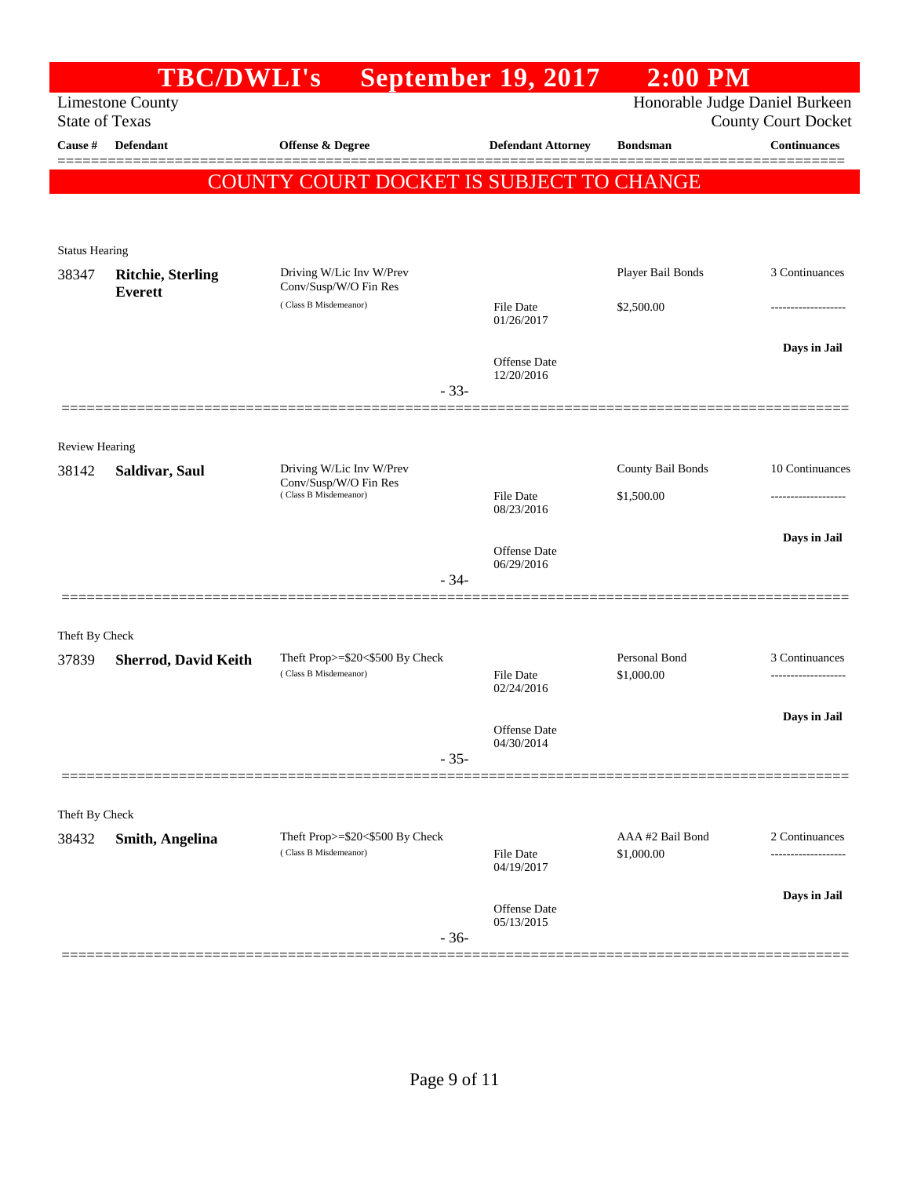|                       | <b>TBC/DWLI's</b>           |                                                   | <b>September 19, 2017</b>      | $2:00$ PM         |                                |
|-----------------------|-----------------------------|---------------------------------------------------|--------------------------------|-------------------|--------------------------------|
|                       | <b>Limestone County</b>     |                                                   |                                |                   | Honorable Judge Daniel Burkeen |
| <b>State of Texas</b> |                             |                                                   |                                |                   | <b>County Court Docket</b>     |
| Cause #               | Defendant                   | Offense & Degree                                  | <b>Defendant Attorney</b>      | <b>Bondsman</b>   | <b>Continuances</b>            |
|                       |                             | COUNTY COURT DOCKET IS SUBJECT TO CHANGE          |                                |                   |                                |
|                       |                             |                                                   |                                |                   |                                |
| <b>Status Hearing</b> |                             |                                                   |                                |                   |                                |
| 38347                 | <b>Ritchie, Sterling</b>    | Driving W/Lic Inv W/Prev                          |                                | Player Bail Bonds | 3 Continuances                 |
|                       | <b>Everett</b>              | Conv/Susp/W/O Fin Res                             |                                |                   |                                |
|                       |                             | (Class B Misdemeanor)                             | File Date<br>01/26/2017        | \$2,500.00        |                                |
|                       |                             |                                                   |                                |                   | Days in Jail                   |
|                       |                             |                                                   | Offense Date<br>12/20/2016     |                   |                                |
|                       |                             | $-33-$                                            |                                |                   |                                |
|                       |                             |                                                   |                                |                   |                                |
| <b>Review Hearing</b> |                             |                                                   |                                |                   |                                |
| 38142                 | Saldivar, Saul              | Driving W/Lic Inv W/Prev<br>Conv/Susp/W/O Fin Res |                                | County Bail Bonds | 10 Continuances                |
|                       |                             | (Class B Misdemeanor)                             | File Date<br>08/23/2016        | \$1,500.00        | ---------------                |
|                       |                             |                                                   |                                |                   |                                |
|                       |                             |                                                   | Offense Date                   |                   | Days in Jail                   |
|                       |                             | $-34-$                                            | 06/29/2016                     |                   |                                |
|                       |                             |                                                   |                                |                   |                                |
| Theft By Check        |                             |                                                   |                                |                   |                                |
| 37839                 | <b>Sherrod, David Keith</b> | Theft Prop>=\$20<\$500 By Check                   |                                | Personal Bond     | 3 Continuances                 |
|                       |                             | (Class B Misdemeanor)                             | <b>File Date</b><br>02/24/2016 | \$1,000.00        |                                |
|                       |                             |                                                   |                                |                   | Days in Jail                   |
|                       |                             |                                                   | Offense Date<br>04/30/2014     |                   |                                |
|                       |                             | $-35-$                                            |                                |                   |                                |
|                       |                             |                                                   |                                |                   |                                |
| Theft By Check        |                             |                                                   |                                |                   |                                |
| 38432                 | <b>Smith, Angelina</b>      | Theft Prop>=\$20<\$500 By Check                   |                                | AAA #2 Bail Bond  | 2 Continuances                 |
|                       |                             | (Class B Misdemeanor)                             | File Date<br>04/19/2017        | \$1,000.00        |                                |
|                       |                             |                                                   |                                |                   | Days in Jail                   |
|                       |                             |                                                   | Offense Date<br>05/13/2015     |                   |                                |
|                       |                             | $-36-$                                            |                                |                   |                                |
|                       |                             |                                                   |                                |                   |                                |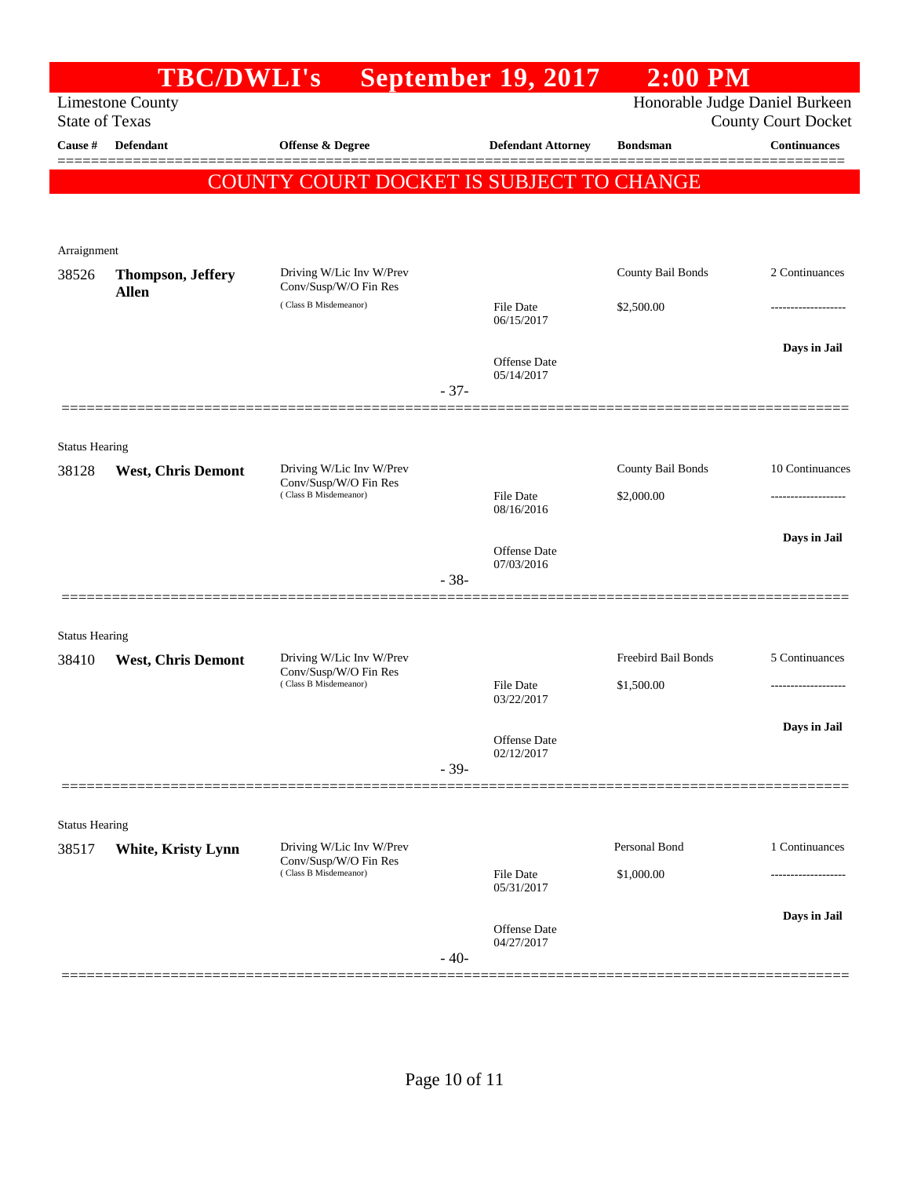|                                | <b>TBC/DWLI's</b>         |                                                   |        | <b>September 19, 2017</b>         | $2:00$ PM           |                                                              |
|--------------------------------|---------------------------|---------------------------------------------------|--------|-----------------------------------|---------------------|--------------------------------------------------------------|
| <b>State of Texas</b>          | <b>Limestone County</b>   |                                                   |        |                                   |                     | Honorable Judge Daniel Burkeen<br><b>County Court Docket</b> |
| Cause #                        | <b>Defendant</b>          | <b>Offense &amp; Degree</b>                       |        | <b>Defendant Attorney</b>         | <b>Bondsman</b>     | <b>Continuances</b>                                          |
|                                |                           | COUNTY COURT DOCKET IS SUBJECT TO CHANGE          |        |                                   |                     |                                                              |
|                                |                           |                                                   |        |                                   |                     |                                                              |
|                                |                           |                                                   |        |                                   |                     |                                                              |
| Arraignment<br>38526           | <b>Thompson, Jeffery</b>  | Driving W/Lic Inv W/Prev                          |        |                                   | County Bail Bonds   | 2 Continuances                                               |
|                                | <b>Allen</b>              | Conv/Susp/W/O Fin Res                             |        |                                   |                     |                                                              |
|                                |                           | (Class B Misdemeanor)                             |        | <b>File Date</b><br>06/15/2017    | \$2,500.00          |                                                              |
|                                |                           |                                                   |        |                                   |                     | Days in Jail                                                 |
|                                |                           |                                                   |        | <b>Offense Date</b><br>05/14/2017 |                     |                                                              |
|                                |                           |                                                   | $-37-$ |                                   |                     |                                                              |
|                                |                           |                                                   |        |                                   |                     |                                                              |
| <b>Status Hearing</b><br>38128 | <b>West, Chris Demont</b> | Driving W/Lic Inv W/Prev                          |        |                                   | County Bail Bonds   | 10 Continuances                                              |
|                                |                           | Conv/Susp/W/O Fin Res<br>(Class B Misdemeanor)    |        | <b>File Date</b>                  | \$2,000.00          |                                                              |
|                                |                           |                                                   |        | 08/16/2016                        |                     |                                                              |
|                                |                           |                                                   |        | Offense Date                      |                     | Days in Jail                                                 |
|                                |                           |                                                   | $-38-$ | 07/03/2016                        |                     |                                                              |
|                                |                           |                                                   |        |                                   |                     |                                                              |
| <b>Status Hearing</b>          |                           |                                                   |        |                                   |                     |                                                              |
| 38410                          | <b>West, Chris Demont</b> | Driving W/Lic Inv W/Prev<br>Conv/Susp/W/O Fin Res |        |                                   | Freebird Bail Bonds | 5 Continuances                                               |
|                                |                           | (Class B Misdemeanor)                             |        | <b>File Date</b><br>03/22/2017    | \$1,500.00          |                                                              |
|                                |                           |                                                   |        |                                   |                     | Days in Jail                                                 |
|                                |                           |                                                   |        | Offense Date<br>02/12/2017        |                     |                                                              |
|                                |                           |                                                   | $-39-$ |                                   |                     |                                                              |
|                                |                           |                                                   |        |                                   |                     |                                                              |
| <b>Status Hearing</b>          |                           |                                                   |        |                                   |                     |                                                              |
| 38517                          | White, Kristy Lynn        | Driving W/Lic Inv W/Prev<br>Conv/Susp/W/O Fin Res |        |                                   | Personal Bond       | 1 Continuances                                               |
|                                |                           | (Class B Misdemeanor)                             |        | <b>File Date</b><br>05/31/2017    | \$1,000.00          | .                                                            |
|                                |                           |                                                   |        |                                   |                     | Days in Jail                                                 |
|                                |                           |                                                   |        | Offense Date<br>04/27/2017        |                     |                                                              |
|                                |                           |                                                   | $-40-$ |                                   |                     |                                                              |